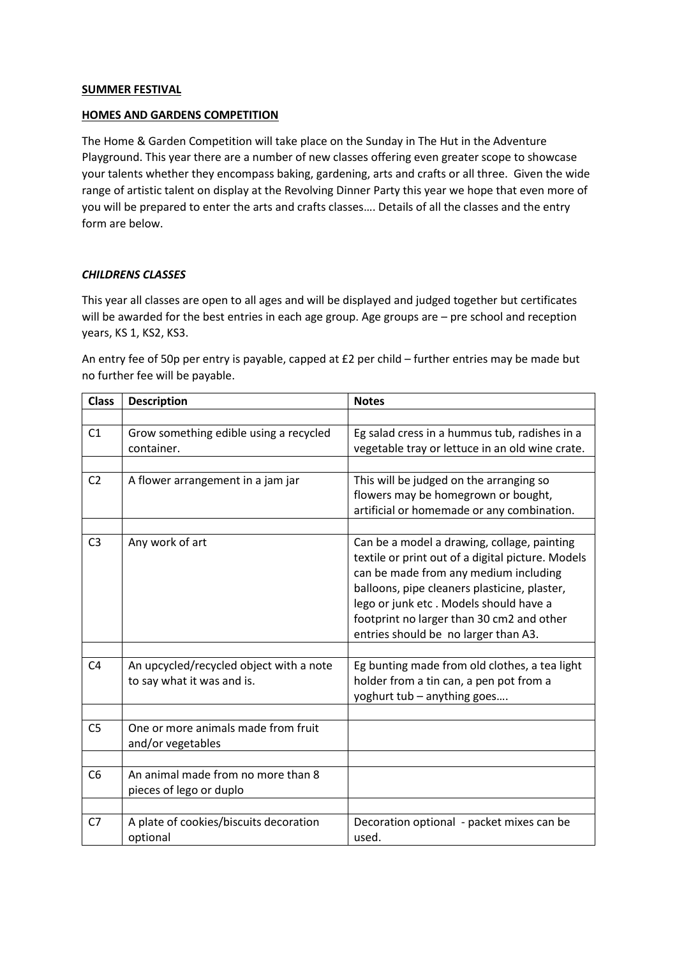## **SUMMER FESTIVAL**

## **HOMES AND GARDENS COMPETITION**

The Home & Garden Competition will take place on the Sunday in The Hut in the Adventure Playground. This year there are a number of new classes offering even greater scope to showcase your talents whether they encompass baking, gardening, arts and crafts or all three. Given the wide range of artistic talent on display at the Revolving Dinner Party this year we hope that even more of you will be prepared to enter the arts and crafts classes…. Details of all the classes and the entry form are below.

## *CHILDRENS CLASSES*

This year all classes are open to all ages and will be displayed and judged together but certificates will be awarded for the best entries in each age group. Age groups are – pre school and reception years, KS 1, KS2, KS3.

An entry fee of 50p per entry is payable, capped at £2 per child – further entries may be made but no further fee will be payable.

| <b>Class</b>   | <b>Description</b>                                                    | <b>Notes</b>                                                                                                                                                                                                                                                                                                             |  |
|----------------|-----------------------------------------------------------------------|--------------------------------------------------------------------------------------------------------------------------------------------------------------------------------------------------------------------------------------------------------------------------------------------------------------------------|--|
|                |                                                                       |                                                                                                                                                                                                                                                                                                                          |  |
| C1             | Grow something edible using a recycled<br>container.                  | Eg salad cress in a hummus tub, radishes in a<br>vegetable tray or lettuce in an old wine crate.                                                                                                                                                                                                                         |  |
|                |                                                                       |                                                                                                                                                                                                                                                                                                                          |  |
| C <sub>2</sub> | A flower arrangement in a jam jar                                     | This will be judged on the arranging so<br>flowers may be homegrown or bought,<br>artificial or homemade or any combination.                                                                                                                                                                                             |  |
|                |                                                                       |                                                                                                                                                                                                                                                                                                                          |  |
| C <sub>3</sub> | Any work of art                                                       | Can be a model a drawing, collage, painting<br>textile or print out of a digital picture. Models<br>can be made from any medium including<br>balloons, pipe cleaners plasticine, plaster,<br>lego or junk etc. Models should have a<br>footprint no larger than 30 cm2 and other<br>entries should be no larger than A3. |  |
|                |                                                                       |                                                                                                                                                                                                                                                                                                                          |  |
| C <sub>4</sub> | An upcycled/recycled object with a note<br>to say what it was and is. | Eg bunting made from old clothes, a tea light<br>holder from a tin can, a pen pot from a<br>yoghurt tub - anything goes                                                                                                                                                                                                  |  |
|                |                                                                       |                                                                                                                                                                                                                                                                                                                          |  |
| C <sub>5</sub> | One or more animals made from fruit<br>and/or vegetables              |                                                                                                                                                                                                                                                                                                                          |  |
|                |                                                                       |                                                                                                                                                                                                                                                                                                                          |  |
| C <sub>6</sub> | An animal made from no more than 8<br>pieces of lego or duplo         |                                                                                                                                                                                                                                                                                                                          |  |
|                |                                                                       |                                                                                                                                                                                                                                                                                                                          |  |
| C <sub>7</sub> | A plate of cookies/biscuits decoration<br>optional                    | Decoration optional - packet mixes can be<br>used.                                                                                                                                                                                                                                                                       |  |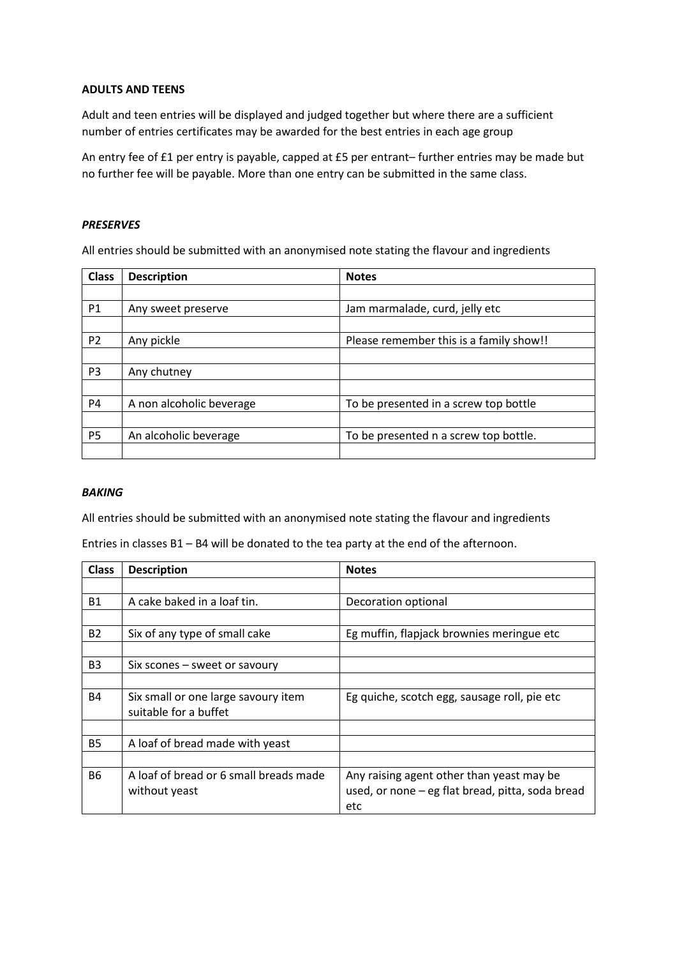#### **ADULTS AND TEENS**

Adult and teen entries will be displayed and judged together but where there are a sufficient number of entries certificates may be awarded for the best entries in each age group

An entry fee of £1 per entry is payable, capped at £5 per entrant– further entries may be made but no further fee will be payable. More than one entry can be submitted in the same class.

### *PRESERVES*

All entries should be submitted with an anonymised note stating the flavour and ingredients

| <b>Class</b>   | <b>Description</b>       | <b>Notes</b>                            |  |
|----------------|--------------------------|-----------------------------------------|--|
|                |                          |                                         |  |
| <b>P1</b>      | Any sweet preserve       | Jam marmalade, curd, jelly etc          |  |
|                |                          |                                         |  |
| P <sub>2</sub> | Any pickle               | Please remember this is a family show!! |  |
|                |                          |                                         |  |
| P <sub>3</sub> | Any chutney              |                                         |  |
|                |                          |                                         |  |
| P <sub>4</sub> | A non alcoholic beverage | To be presented in a screw top bottle   |  |
|                |                          |                                         |  |
| P <sub>5</sub> | An alcoholic beverage    | To be presented n a screw top bottle.   |  |
|                |                          |                                         |  |

#### *BAKING*

All entries should be submitted with an anonymised note stating the flavour and ingredients

Entries in classes B1 – B4 will be donated to the tea party at the end of the afternoon.

| <b>Class</b>   | <b>Description</b>                     | <b>Notes</b>                                     |  |
|----------------|----------------------------------------|--------------------------------------------------|--|
|                |                                        |                                                  |  |
| <b>B1</b>      | A cake baked in a loaf tin.            | Decoration optional                              |  |
|                |                                        |                                                  |  |
| <b>B2</b>      | Six of any type of small cake          | Eg muffin, flapjack brownies meringue etc        |  |
|                |                                        |                                                  |  |
| B <sub>3</sub> | Six scones – sweet or savoury          |                                                  |  |
|                |                                        |                                                  |  |
| <b>B4</b>      | Six small or one large savoury item    | Eg quiche, scotch egg, sausage roll, pie etc     |  |
|                | suitable for a buffet                  |                                                  |  |
|                |                                        |                                                  |  |
| <b>B5</b>      | A loaf of bread made with yeast        |                                                  |  |
|                |                                        |                                                  |  |
| <b>B6</b>      | A loaf of bread or 6 small breads made | Any raising agent other than yeast may be        |  |
|                | without yeast                          | used, or none - eg flat bread, pitta, soda bread |  |
|                |                                        | etc                                              |  |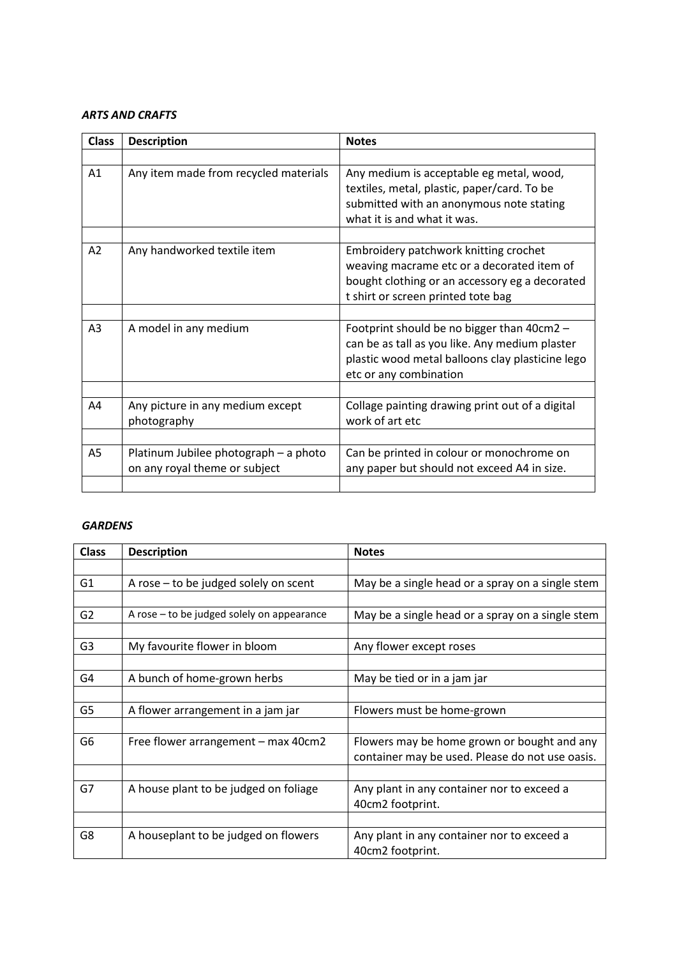## *ARTS AND CRAFTS*

| <b>Class</b>   | <b>Description</b>                                                     | <b>Notes</b>                                                                                                                                                                |  |
|----------------|------------------------------------------------------------------------|-----------------------------------------------------------------------------------------------------------------------------------------------------------------------------|--|
|                |                                                                        |                                                                                                                                                                             |  |
| A1             | Any item made from recycled materials                                  | Any medium is acceptable eg metal, wood,<br>textiles, metal, plastic, paper/card. To be<br>submitted with an anonymous note stating<br>what it is and what it was.          |  |
|                |                                                                        |                                                                                                                                                                             |  |
| A2             | Any handworked textile item                                            | Embroidery patchwork knitting crochet<br>weaving macrame etc or a decorated item of<br>bought clothing or an accessory eg a decorated<br>t shirt or screen printed tote bag |  |
|                |                                                                        |                                                                                                                                                                             |  |
| A <sub>3</sub> | A model in any medium                                                  | Footprint should be no bigger than 40cm2 -<br>can be as tall as you like. Any medium plaster<br>plastic wood metal balloons clay plasticine lego<br>etc or any combination  |  |
|                |                                                                        |                                                                                                                                                                             |  |
| A4             | Any picture in any medium except<br>photography                        | Collage painting drawing print out of a digital<br>work of art etc                                                                                                          |  |
|                |                                                                        |                                                                                                                                                                             |  |
| A5             | Platinum Jubilee photograph - a photo<br>on any royal theme or subject | Can be printed in colour or monochrome on<br>any paper but should not exceed A4 in size.                                                                                    |  |
|                |                                                                        |                                                                                                                                                                             |  |

## *GARDENS*

| <b>Class</b>   | <b>Description</b>                         | <b>Notes</b>                                     |  |
|----------------|--------------------------------------------|--------------------------------------------------|--|
|                |                                            |                                                  |  |
| G <sub>1</sub> | A rose - to be judged solely on scent      | May be a single head or a spray on a single stem |  |
|                |                                            |                                                  |  |
| G <sub>2</sub> | A rose – to be judged solely on appearance | May be a single head or a spray on a single stem |  |
|                |                                            |                                                  |  |
| G3             | My favourite flower in bloom               | Any flower except roses                          |  |
|                |                                            |                                                  |  |
| G4             | A bunch of home-grown herbs                | May be tied or in a jam jar                      |  |
|                |                                            |                                                  |  |
| G5             | A flower arrangement in a jam jar          | Flowers must be home-grown                       |  |
|                |                                            |                                                  |  |
| G6             | Free flower arrangement – max 40cm2        | Flowers may be home grown or bought and any      |  |
|                |                                            | container may be used. Please do not use oasis.  |  |
|                |                                            |                                                  |  |
| G7             | A house plant to be judged on foliage      | Any plant in any container nor to exceed a       |  |
|                |                                            | 40cm2 footprint.                                 |  |
|                |                                            |                                                  |  |
| G8             | A houseplant to be judged on flowers       | Any plant in any container nor to exceed a       |  |
|                |                                            | 40cm2 footprint.                                 |  |